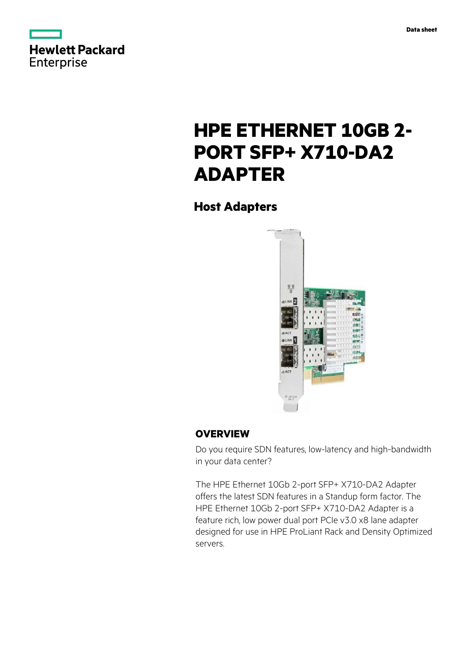



# **HPE ETHERNET 10GB 2- PORT SFP+ X710-DA2 ADAPTER**

**Host Adapters**



## **OVERVIEW**

Do you require SDN features, low-latency and high-bandwidth in your data center?

The HPE Ethernet 10Gb 2-port SFP+ X710-DA2 Adapter offers the latest SDN features in a Standup form factor. The HPE Ethernet 10Gb 2-port SFP+ X710-DA2 Adapter is a feature rich, low power dual port PCIe v3.0 x8 lane adapter designed for use in HPE ProLiant Rack and Density Optimized servers.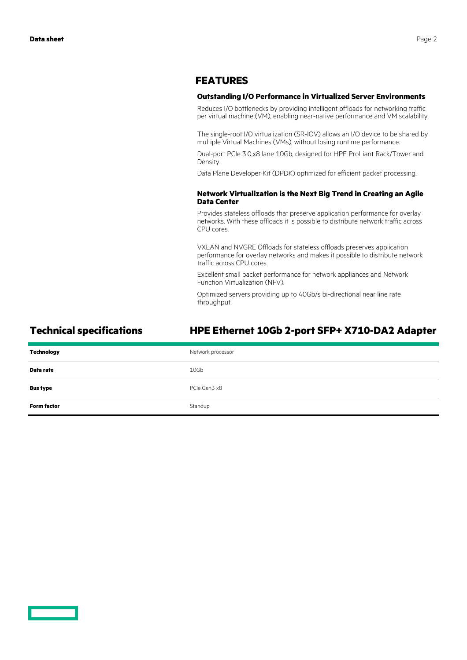### **FEATURES**

#### **Outstanding I/O Performance in Virtualized Server Environments**

Reduces I/O bottlenecks by providing intelligent offloads for networking traffic per virtual machine (VM), enabling near-native performance and VM scalability.

The single-root I/O virtualization (SR-IOV) allows an I/O device to be shared by multiple Virtual Machines (VMs), without losing runtime performance.

Dual-port PCIe 3.0,x8 lane 10Gb, designed for HPE ProLiant Rack/Tower and Density.

Data Plane Developer Kit (DPDK) optimized for efficient packet processing.

#### **Network Virtualization is the Next Big Trend in Creating an Agile Data Center**

Provides stateless offloads that preserve application performance for overlay networks. With these offloads it is possible to distribute network traffic across CPU cores.

VXLAN and NVGRE Offloads for stateless offloads preserves application performance for overlay networks and makes it possible to distribute network traffic across CPU cores.

Excellent small packet performance for network appliances and Network Function Virtualization (NFV).

Optimized servers providing up to 40Gb/s bi-directional near line rate throughput.

# **Technical specifications HPE Ethernet 10Gb 2-port SFP+ X710-DA2 Adapter**

| Technology         | Network processor |
|--------------------|-------------------|
| Data rate          | 10Gb              |
| <b>Bus type</b>    | PCIe Gen3 x8      |
| <b>Form factor</b> | Standup           |